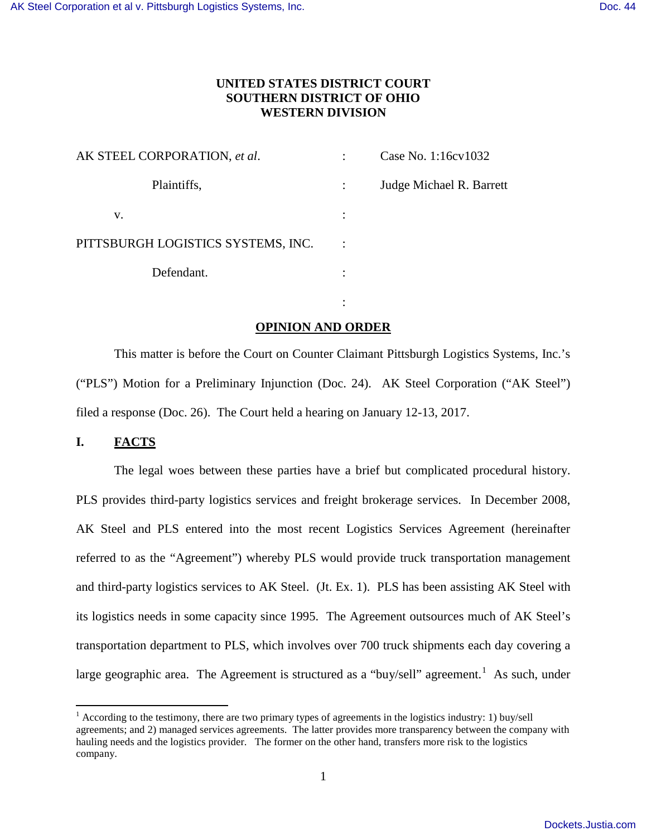# **UNITED STATES DISTRICT COURT SOUTHERN DISTRICT OF OHIO WESTERN DIVISION**

| AK STEEL CORPORATION, et al.       | Case No. 1:16cv1032      |
|------------------------------------|--------------------------|
| Plaintiffs,                        | Judge Michael R. Barrett |
| V.                                 |                          |
| PITTSBURGH LOGISTICS SYSTEMS, INC. |                          |
| Defendant.                         |                          |

the contract of the contract of the contract of the contract of the contract of the contract of the contract of

# **OPINION AND ORDER**

This matter is before the Court on Counter Claimant Pittsburgh Logistics Systems, Inc.'s ("PLS") Motion for a Preliminary Injunction (Doc. 24). AK Steel Corporation ("AK Steel") filed a response (Doc. 26). The Court held a hearing on January 12-13, 2017.

# **I. FACTS**

 $\overline{a}$ 

The legal woes between these parties have a brief but complicated procedural history. PLS provides third-party logistics services and freight brokerage services. In December 2008, AK Steel and PLS entered into the most recent Logistics Services Agreement (hereinafter referred to as the "Agreement") whereby PLS would provide truck transportation management and third-party logistics services to AK Steel. (Jt. Ex. 1). PLS has been assisting AK Steel with its logistics needs in some capacity since 1995. The Agreement outsources much of AK Steel's transportation department to PLS, which involves over 700 truck shipments each day covering a large geographic area. The Agreement is structured as a "buy/sell" agreement.<sup>[1](#page-0-0)</sup> As such, under

<span id="page-0-0"></span> $1$  According to the testimony, there are two primary types of agreements in the logistics industry: 1) buy/sell agreements; and 2) managed services agreements. The latter provides more transparency between the company with hauling needs and the logistics provider. The former on the other hand, transfers more risk to the logistics company.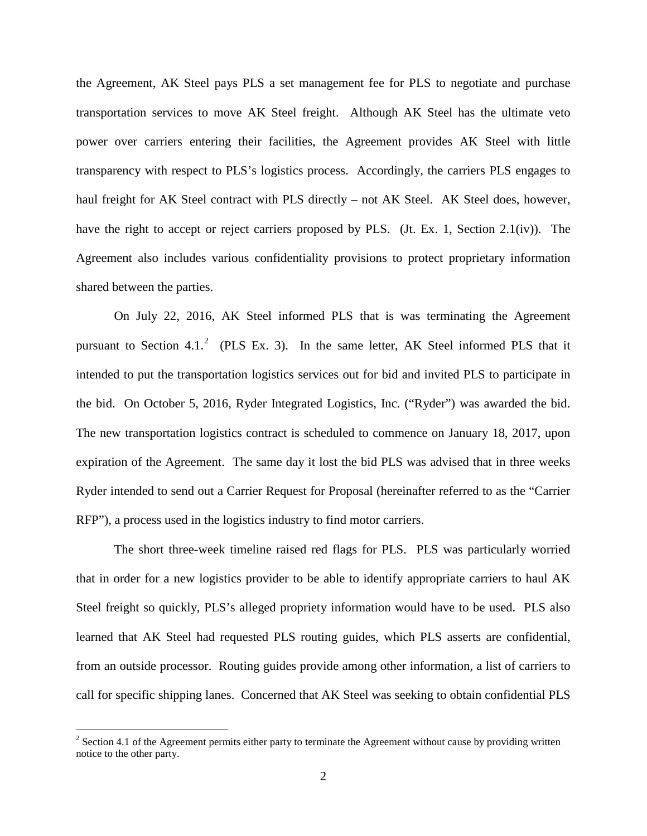the Agreement, AK Steel pays PLS a set management fee for PLS to negotiate and purchase transportation services to move AK Steel freight. Although AK Steel has the ultimate veto power over carriers entering their facilities, the Agreement provides AK Steel with little transparency with respect to PLS's logistics process. Accordingly, the carriers PLS engages to haul freight for AK Steel contract with PLS directly – not AK Steel. AK Steel does, however, have the right to accept or reject carriers proposed by PLS. (Jt. Ex. 1, Section 2.1(iv)). The Agreement also includes various confidentiality provisions to protect proprietary information shared between the parties.

On July 22, 2016, AK Steel informed PLS that is was terminating the Agreement pursuant to Section 4.1.<sup>[2](#page-1-0)</sup> (PLS Ex. 3). In the same letter, AK Steel informed PLS that it intended to put the transportation logistics services out for bid and invited PLS to participate in the bid. On October 5, 2016, Ryder Integrated Logistics, Inc. ("Ryder") was awarded the bid. The new transportation logistics contract is scheduled to commence on January 18, 2017, upon expiration of the Agreement. The same day it lost the bid PLS was advised that in three weeks Ryder intended to send out a Carrier Request for Proposal (hereinafter referred to as the "Carrier RFP"), a process used in the logistics industry to find motor carriers.

The short three-week timeline raised red flags for PLS. PLS was particularly worried that in order for a new logistics provider to be able to identify appropriate carriers to haul AK Steel freight so quickly, PLS's alleged propriety information would have to be used. PLS also learned that AK Steel had requested PLS routing guides, which PLS asserts are confidential, from an outside processor. Routing guides provide among other information, a list of carriers to call for specific shipping lanes. Concerned that AK Steel was seeking to obtain confidential PLS

 $\overline{a}$ 

<span id="page-1-0"></span> $2^{2}$  Section 4.1 of the Agreement permits either party to terminate the Agreement without cause by providing written notice to the other party.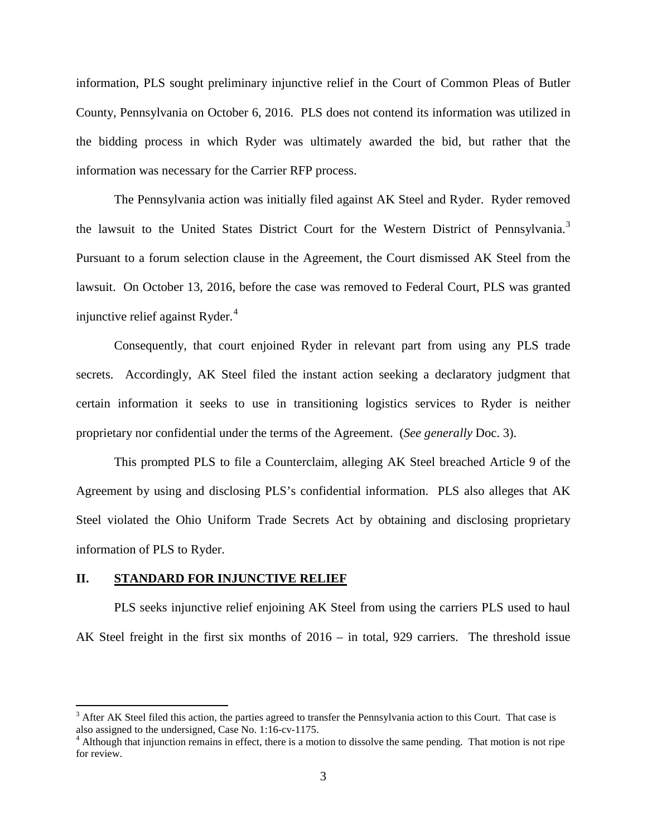information, PLS sought preliminary injunctive relief in the Court of Common Pleas of Butler County, Pennsylvania on October 6, 2016. PLS does not contend its information was utilized in the bidding process in which Ryder was ultimately awarded the bid, but rather that the information was necessary for the Carrier RFP process.

The Pennsylvania action was initially filed against AK Steel and Ryder. Ryder removed the lawsuit to the United States District Court for the Western District of Pennsylvania.<sup>[3](#page-2-0)</sup> Pursuant to a forum selection clause in the Agreement, the Court dismissed AK Steel from the lawsuit. On October 13, 2016, before the case was removed to Federal Court, PLS was granted injunctive relief against Ryder. $4$ 

 Consequently, that court enjoined Ryder in relevant part from using any PLS trade secrets. Accordingly, AK Steel filed the instant action seeking a declaratory judgment that certain information it seeks to use in transitioning logistics services to Ryder is neither proprietary nor confidential under the terms of the Agreement. (*See generally* Doc. 3).

This prompted PLS to file a Counterclaim, alleging AK Steel breached Article 9 of the Agreement by using and disclosing PLS's confidential information. PLS also alleges that AK Steel violated the Ohio Uniform Trade Secrets Act by obtaining and disclosing proprietary information of PLS to Ryder.

## **II. STANDARD FOR INJUNCTIVE RELIEF**

 $\overline{a}$ 

PLS seeks injunctive relief enjoining AK Steel from using the carriers PLS used to haul AK Steel freight in the first six months of 2016 – in total, 929 carriers. The threshold issue

<span id="page-2-0"></span> $3$  After AK Steel filed this action, the parties agreed to transfer the Pennsylvania action to this Court. That case is also assigned to the undersigned, Case No. 1:16-cv-1175.

<span id="page-2-1"></span><sup>&</sup>lt;sup>4</sup> Although that injunction remains in effect, there is a motion to dissolve the same pending. That motion is not ripe for review.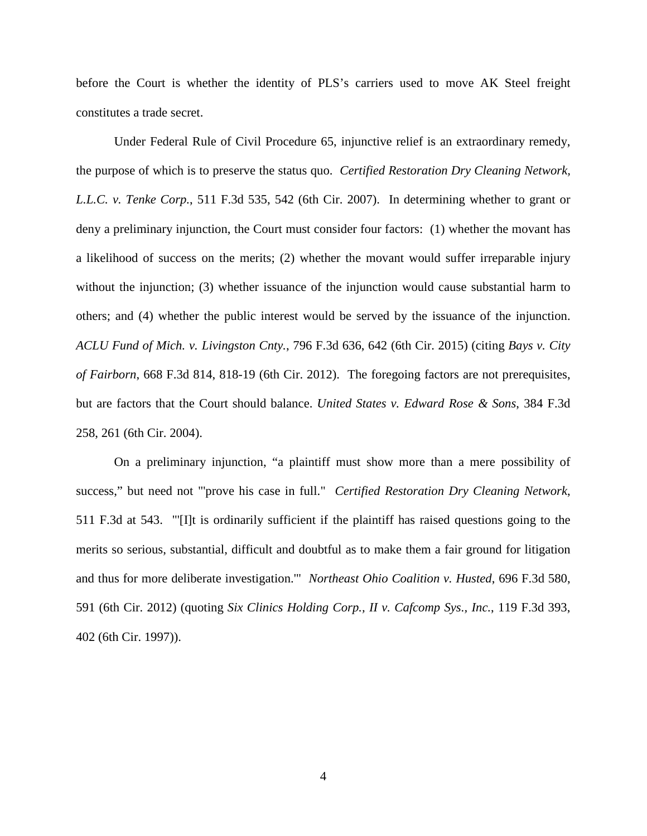before the Court is whether the identity of PLS's carriers used to move AK Steel freight constitutes a trade secret.

Under Federal Rule of Civil Procedure 65, injunctive relief is an extraordinary remedy, the purpose of which is to preserve the status quo. *Certified Restoration Dry Cleaning Network, L.L.C. v. Tenke Corp.*, 511 F.3d 535, 542 (6th Cir. 2007). In determining whether to grant or deny a preliminary injunction, the Court must consider four factors: (1) whether the movant has a likelihood of success on the merits; (2) whether the movant would suffer irreparable injury without the injunction; (3) whether issuance of the injunction would cause substantial harm to others; and (4) whether the public interest would be served by the issuance of the injunction. *ACLU Fund of Mich. v. Livingston Cnty.*, 796 F.3d 636, 642 (6th Cir. 2015) (citing *Bays v. City of Fairborn*, 668 F.3d 814, 818-19 (6th Cir. 2012). The foregoing factors are not prerequisites, but are factors that the Court should balance. *United States v. Edward Rose & Sons*, 384 F.3d 258, 261 (6th Cir. 2004).

On a preliminary injunction, "a plaintiff must show more than a mere possibility of success," but need not "'prove his case in full." *Certified Restoration Dry Cleaning Network*, 511 F.3d at 543. "'[I]t is ordinarily sufficient if the plaintiff has raised questions going to the merits so serious, substantial, difficult and doubtful as to make them a fair ground for litigation and thus for more deliberate investigation.'" *Northeast Ohio Coalition v. Husted*, 696 F.3d 580, 591 (6th Cir. 2012) (quoting *Six Clinics Holding Corp., II v. Cafcomp Sys., Inc.*, 119 F.3d 393, 402 (6th Cir. 1997)).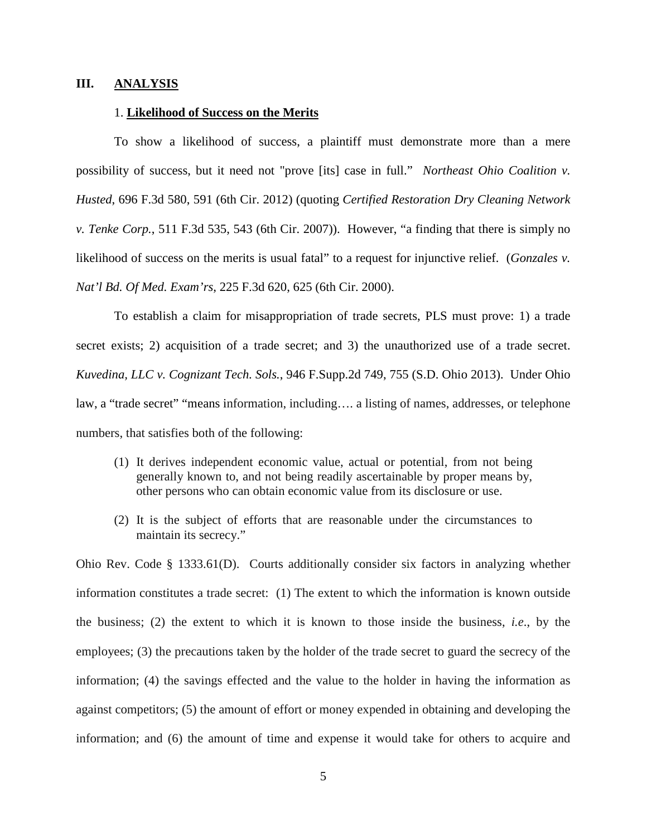## **III. ANALYSIS**

### 1. **Likelihood of Success on the Merits**

To show a likelihood of success, a plaintiff must demonstrate more than a mere possibility of success, but it need not "prove [its] case in full." *Northeast Ohio Coalition v. Husted*, 696 F.3d 580, 591 (6th Cir. 2012) (quoting *Certified Restoration Dry Cleaning Network v. Tenke Corp.*, 511 F.3d 535, 543 (6th Cir. 2007)). However, "a finding that there is simply no likelihood of success on the merits is usual fatal" to a request for injunctive relief. (*Gonzales v. Nat'l Bd. Of Med. Exam'rs*, 225 F.3d 620, 625 (6th Cir. 2000).

To establish a claim for misappropriation of trade secrets, PLS must prove: 1) a trade secret exists; 2) acquisition of a trade secret; and 3) the unauthorized use of a trade secret. *Kuvedina, LLC v. Cognizant Tech. Sols.*, 946 F.Supp.2d 749, 755 (S.D. Ohio 2013). Under Ohio law, a "trade secret" "means information, including…. a listing of names, addresses, or telephone numbers, that satisfies both of the following:

- (1) It derives independent economic value, actual or potential, from not being generally known to, and not being readily ascertainable by proper means by, other persons who can obtain economic value from its disclosure or use.
- (2) It is the subject of efforts that are reasonable under the circumstances to maintain its secrecy."

Ohio Rev. Code § 1333.61(D). Courts additionally consider six factors in analyzing whether information constitutes a trade secret: (1) The extent to which the information is known outside the business; (2) the extent to which it is known to those inside the business, *i.e*., by the employees; (3) the precautions taken by the holder of the trade secret to guard the secrecy of the information; (4) the savings effected and the value to the holder in having the information as against competitors; (5) the amount of effort or money expended in obtaining and developing the information; and (6) the amount of time and expense it would take for others to acquire and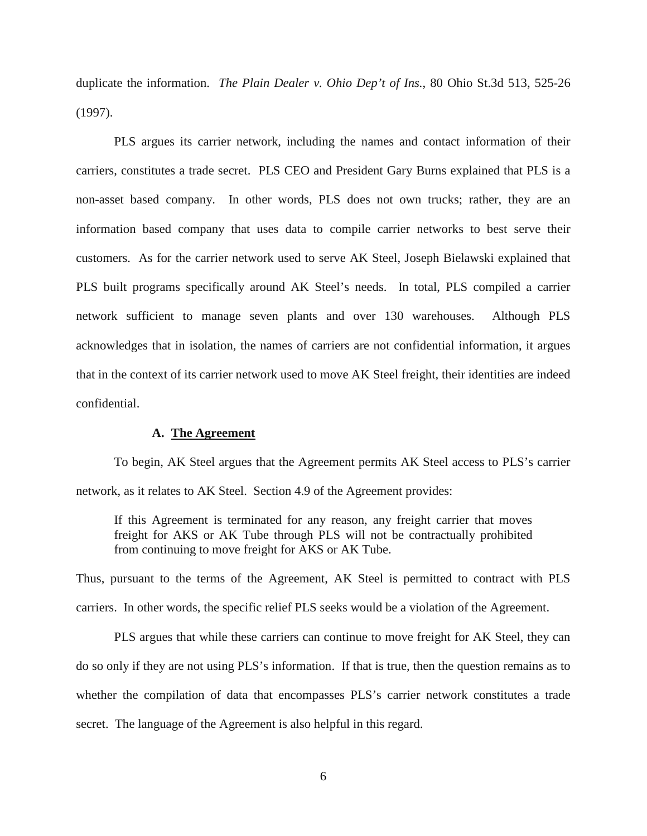duplicate the information. *The Plain Dealer v. Ohio Dep't of Ins.*, 80 Ohio St.3d 513, 525-26 (1997).

PLS argues its carrier network, including the names and contact information of their carriers, constitutes a trade secret. PLS CEO and President Gary Burns explained that PLS is a non-asset based company. In other words, PLS does not own trucks; rather, they are an information based company that uses data to compile carrier networks to best serve their customers. As for the carrier network used to serve AK Steel, Joseph Bielawski explained that PLS built programs specifically around AK Steel's needs. In total, PLS compiled a carrier network sufficient to manage seven plants and over 130 warehouses. Although PLS acknowledges that in isolation, the names of carriers are not confidential information, it argues that in the context of its carrier network used to move AK Steel freight, their identities are indeed confidential.

### **A. The Agreement**

To begin, AK Steel argues that the Agreement permits AK Steel access to PLS's carrier network, as it relates to AK Steel. Section 4.9 of the Agreement provides:

If this Agreement is terminated for any reason, any freight carrier that moves freight for AKS or AK Tube through PLS will not be contractually prohibited from continuing to move freight for AKS or AK Tube.

Thus, pursuant to the terms of the Agreement, AK Steel is permitted to contract with PLS carriers. In other words, the specific relief PLS seeks would be a violation of the Agreement.

PLS argues that while these carriers can continue to move freight for AK Steel, they can do so only if they are not using PLS's information. If that is true, then the question remains as to whether the compilation of data that encompasses PLS's carrier network constitutes a trade secret. The language of the Agreement is also helpful in this regard.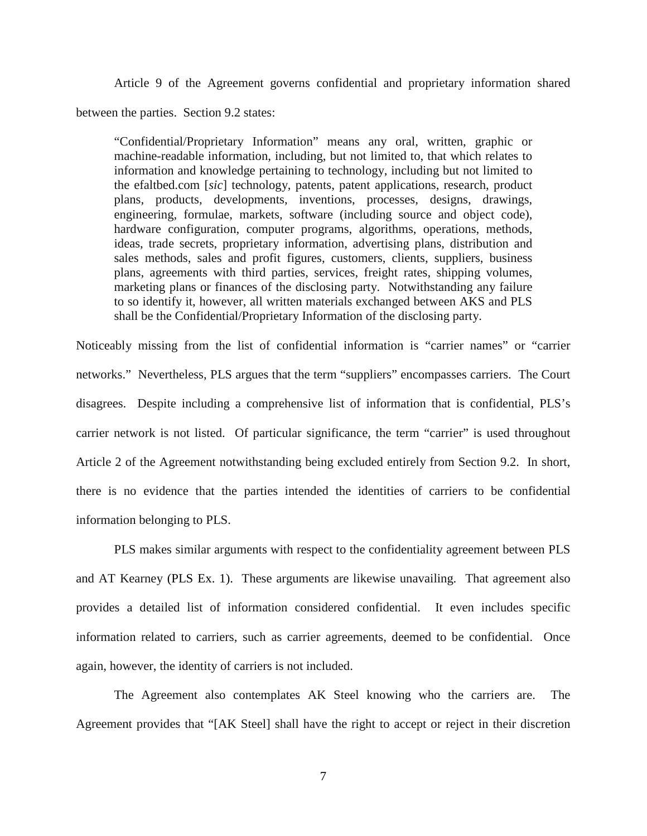Article 9 of the Agreement governs confidential and proprietary information shared between the parties. Section 9.2 states:

"Confidential/Proprietary Information" means any oral, written, graphic or machine-readable information, including, but not limited to, that which relates to information and knowledge pertaining to technology, including but not limited to the efaltbed.com [*sic*] technology, patents, patent applications, research, product plans, products, developments, inventions, processes, designs, drawings, engineering, formulae, markets, software (including source and object code), hardware configuration, computer programs, algorithms, operations, methods, ideas, trade secrets, proprietary information, advertising plans, distribution and sales methods, sales and profit figures, customers, clients, suppliers, business plans, agreements with third parties, services, freight rates, shipping volumes, marketing plans or finances of the disclosing party. Notwithstanding any failure to so identify it, however, all written materials exchanged between AKS and PLS shall be the Confidential/Proprietary Information of the disclosing party.

Noticeably missing from the list of confidential information is "carrier names" or "carrier networks." Nevertheless, PLS argues that the term "suppliers" encompasses carriers. The Court disagrees. Despite including a comprehensive list of information that is confidential, PLS's carrier network is not listed. Of particular significance, the term "carrier" is used throughout Article 2 of the Agreement notwithstanding being excluded entirely from Section 9.2. In short, there is no evidence that the parties intended the identities of carriers to be confidential information belonging to PLS.

PLS makes similar arguments with respect to the confidentiality agreement between PLS and AT Kearney (PLS Ex. 1). These arguments are likewise unavailing. That agreement also provides a detailed list of information considered confidential. It even includes specific information related to carriers, such as carrier agreements, deemed to be confidential. Once again, however, the identity of carriers is not included.

The Agreement also contemplates AK Steel knowing who the carriers are. The Agreement provides that "[AK Steel] shall have the right to accept or reject in their discretion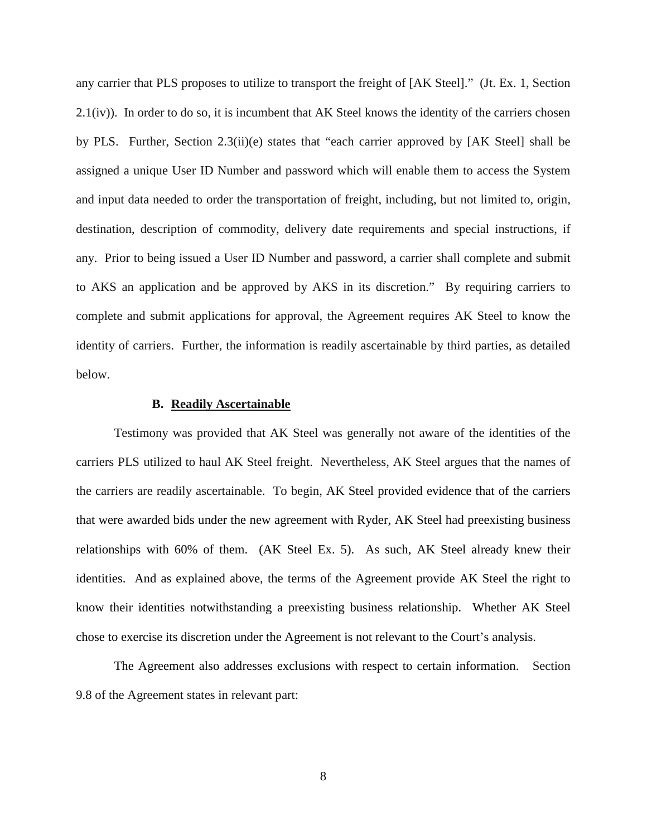any carrier that PLS proposes to utilize to transport the freight of [AK Steel]." (Jt. Ex. 1, Section 2.1(iv)). In order to do so, it is incumbent that AK Steel knows the identity of the carriers chosen by PLS. Further, Section 2.3(ii)(e) states that "each carrier approved by [AK Steel] shall be assigned a unique User ID Number and password which will enable them to access the System and input data needed to order the transportation of freight, including, but not limited to, origin, destination, description of commodity, delivery date requirements and special instructions, if any. Prior to being issued a User ID Number and password, a carrier shall complete and submit to AKS an application and be approved by AKS in its discretion." By requiring carriers to complete and submit applications for approval, the Agreement requires AK Steel to know the identity of carriers. Further, the information is readily ascertainable by third parties, as detailed below.

#### **B. Readily Ascertainable**

Testimony was provided that AK Steel was generally not aware of the identities of the carriers PLS utilized to haul AK Steel freight. Nevertheless, AK Steel argues that the names of the carriers are readily ascertainable. To begin, AK Steel provided evidence that of the carriers that were awarded bids under the new agreement with Ryder, AK Steel had preexisting business relationships with 60% of them. (AK Steel Ex. 5). As such, AK Steel already knew their identities. And as explained above, the terms of the Agreement provide AK Steel the right to know their identities notwithstanding a preexisting business relationship. Whether AK Steel chose to exercise its discretion under the Agreement is not relevant to the Court's analysis.

The Agreement also addresses exclusions with respect to certain information. Section 9.8 of the Agreement states in relevant part: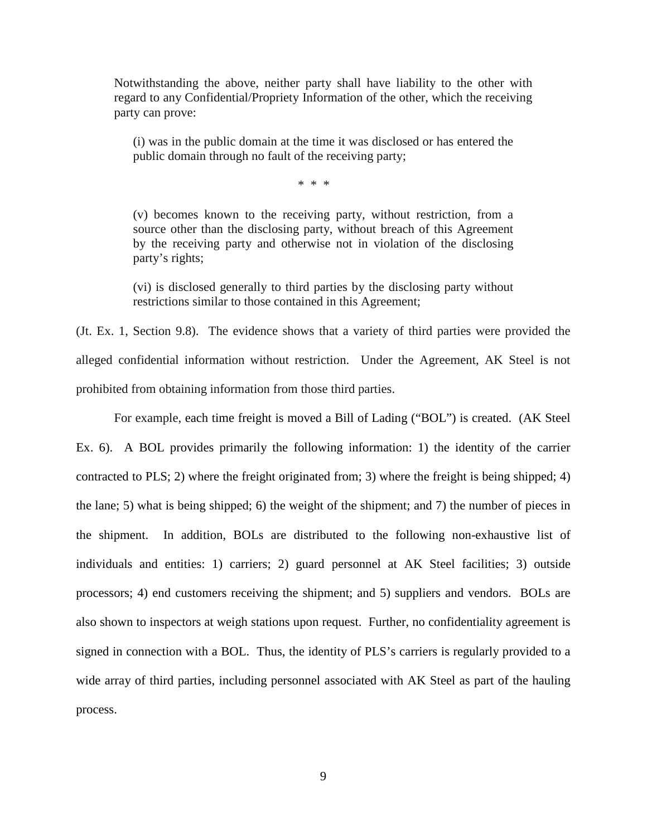Notwithstanding the above, neither party shall have liability to the other with regard to any Confidential/Propriety Information of the other, which the receiving party can prove:

(i) was in the public domain at the time it was disclosed or has entered the public domain through no fault of the receiving party;

\* \* \*

(v) becomes known to the receiving party, without restriction, from a source other than the disclosing party, without breach of this Agreement by the receiving party and otherwise not in violation of the disclosing party's rights;

(vi) is disclosed generally to third parties by the disclosing party without restrictions similar to those contained in this Agreement;

(Jt. Ex. 1, Section 9.8). The evidence shows that a variety of third parties were provided the alleged confidential information without restriction. Under the Agreement, AK Steel is not prohibited from obtaining information from those third parties.

For example, each time freight is moved a Bill of Lading ("BOL") is created. (AK Steel Ex. 6). A BOL provides primarily the following information: 1) the identity of the carrier contracted to PLS; 2) where the freight originated from; 3) where the freight is being shipped; 4) the lane; 5) what is being shipped; 6) the weight of the shipment; and 7) the number of pieces in the shipment. In addition, BOLs are distributed to the following non-exhaustive list of individuals and entities: 1) carriers; 2) guard personnel at AK Steel facilities; 3) outside processors; 4) end customers receiving the shipment; and 5) suppliers and vendors. BOLs are also shown to inspectors at weigh stations upon request. Further, no confidentiality agreement is signed in connection with a BOL. Thus, the identity of PLS's carriers is regularly provided to a wide array of third parties, including personnel associated with AK Steel as part of the hauling process.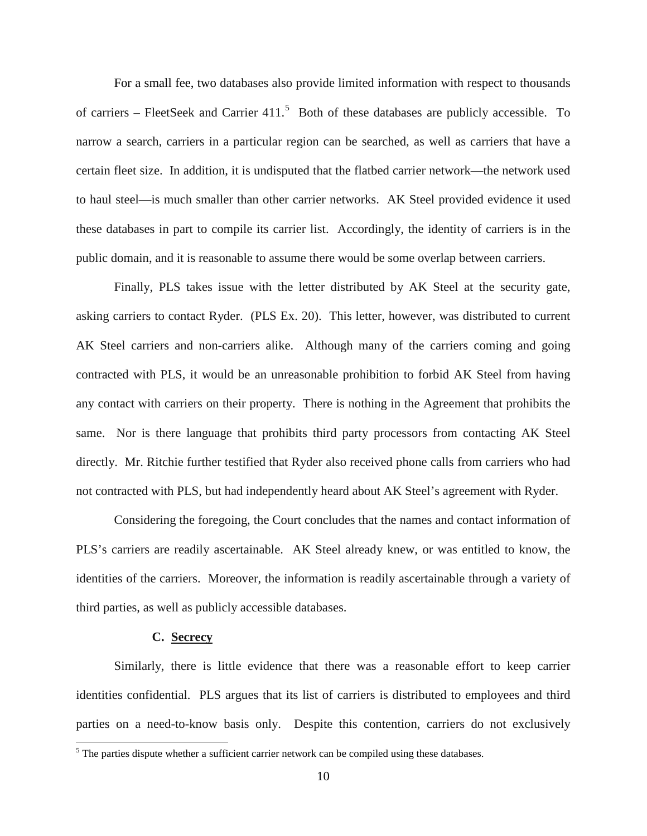For a small fee, two databases also provide limited information with respect to thousands of carriers – FleetSeek and Carrier  $411$ .<sup>[5](#page-9-0)</sup> Both of these databases are publicly accessible. To narrow a search, carriers in a particular region can be searched, as well as carriers that have a certain fleet size. In addition, it is undisputed that the flatbed carrier network—the network used to haul steel—is much smaller than other carrier networks. AK Steel provided evidence it used these databases in part to compile its carrier list. Accordingly, the identity of carriers is in the public domain, and it is reasonable to assume there would be some overlap between carriers.

Finally, PLS takes issue with the letter distributed by AK Steel at the security gate, asking carriers to contact Ryder. (PLS Ex. 20). This letter, however, was distributed to current AK Steel carriers and non-carriers alike. Although many of the carriers coming and going contracted with PLS, it would be an unreasonable prohibition to forbid AK Steel from having any contact with carriers on their property. There is nothing in the Agreement that prohibits the same. Nor is there language that prohibits third party processors from contacting AK Steel directly. Mr. Ritchie further testified that Ryder also received phone calls from carriers who had not contracted with PLS, but had independently heard about AK Steel's agreement with Ryder.

Considering the foregoing, the Court concludes that the names and contact information of PLS's carriers are readily ascertainable. AK Steel already knew, or was entitled to know, the identities of the carriers. Moreover, the information is readily ascertainable through a variety of third parties, as well as publicly accessible databases.

#### **C. Secrecy**

l

 Similarly, there is little evidence that there was a reasonable effort to keep carrier identities confidential. PLS argues that its list of carriers is distributed to employees and third parties on a need-to-know basis only. Despite this contention, carriers do not exclusively

<span id="page-9-0"></span><sup>&</sup>lt;sup>5</sup> The parties dispute whether a sufficient carrier network can be compiled using these databases.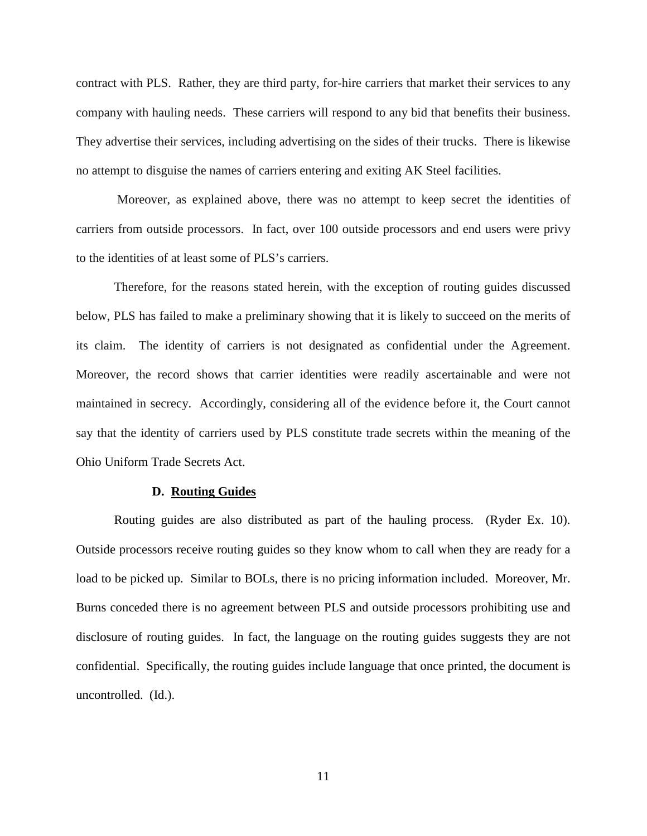contract with PLS. Rather, they are third party, for-hire carriers that market their services to any company with hauling needs. These carriers will respond to any bid that benefits their business. They advertise their services, including advertising on the sides of their trucks. There is likewise no attempt to disguise the names of carriers entering and exiting AK Steel facilities.

 Moreover, as explained above, there was no attempt to keep secret the identities of carriers from outside processors. In fact, over 100 outside processors and end users were privy to the identities of at least some of PLS's carriers.

Therefore, for the reasons stated herein, with the exception of routing guides discussed below, PLS has failed to make a preliminary showing that it is likely to succeed on the merits of its claim. The identity of carriers is not designated as confidential under the Agreement. Moreover, the record shows that carrier identities were readily ascertainable and were not maintained in secrecy. Accordingly, considering all of the evidence before it, the Court cannot say that the identity of carriers used by PLS constitute trade secrets within the meaning of the Ohio Uniform Trade Secrets Act.

#### **D. Routing Guides**

Routing guides are also distributed as part of the hauling process. (Ryder Ex. 10). Outside processors receive routing guides so they know whom to call when they are ready for a load to be picked up. Similar to BOLs, there is no pricing information included. Moreover, Mr. Burns conceded there is no agreement between PLS and outside processors prohibiting use and disclosure of routing guides. In fact, the language on the routing guides suggests they are not confidential. Specifically, the routing guides include language that once printed, the document is uncontrolled. (Id.).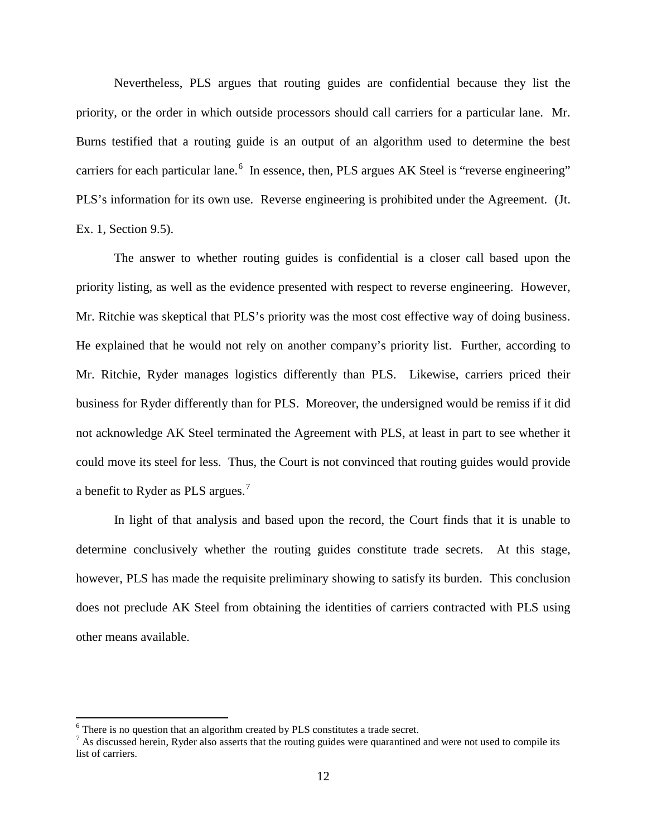Nevertheless, PLS argues that routing guides are confidential because they list the priority, or the order in which outside processors should call carriers for a particular lane. Mr. Burns testified that a routing guide is an output of an algorithm used to determine the best carriers for each particular lane.  $6\,$  $6\,$  In essence, then, PLS argues AK Steel is "reverse engineering" PLS's information for its own use. Reverse engineering is prohibited under the Agreement. (Jt. Ex. 1, Section 9.5).

The answer to whether routing guides is confidential is a closer call based upon the priority listing, as well as the evidence presented with respect to reverse engineering. However, Mr. Ritchie was skeptical that PLS's priority was the most cost effective way of doing business. He explained that he would not rely on another company's priority list. Further, according to Mr. Ritchie, Ryder manages logistics differently than PLS. Likewise, carriers priced their business for Ryder differently than for PLS. Moreover, the undersigned would be remiss if it did not acknowledge AK Steel terminated the Agreement with PLS, at least in part to see whether it could move its steel for less. Thus, the Court is not convinced that routing guides would provide a benefit to Ryder as PLS argues.<sup>[7](#page-11-1)</sup>

In light of that analysis and based upon the record, the Court finds that it is unable to determine conclusively whether the routing guides constitute trade secrets. At this stage, however, PLS has made the requisite preliminary showing to satisfy its burden. This conclusion does not preclude AK Steel from obtaining the identities of carriers contracted with PLS using other means available.

l

<span id="page-11-0"></span><sup>&</sup>lt;sup>6</sup> There is no question that an algorithm created by PLS constitutes a trade secret.

<span id="page-11-1"></span> $<sup>7</sup>$  As discussed herein, Ryder also asserts that the routing guides were quarantined and were not used to compile its</sup> list of carriers.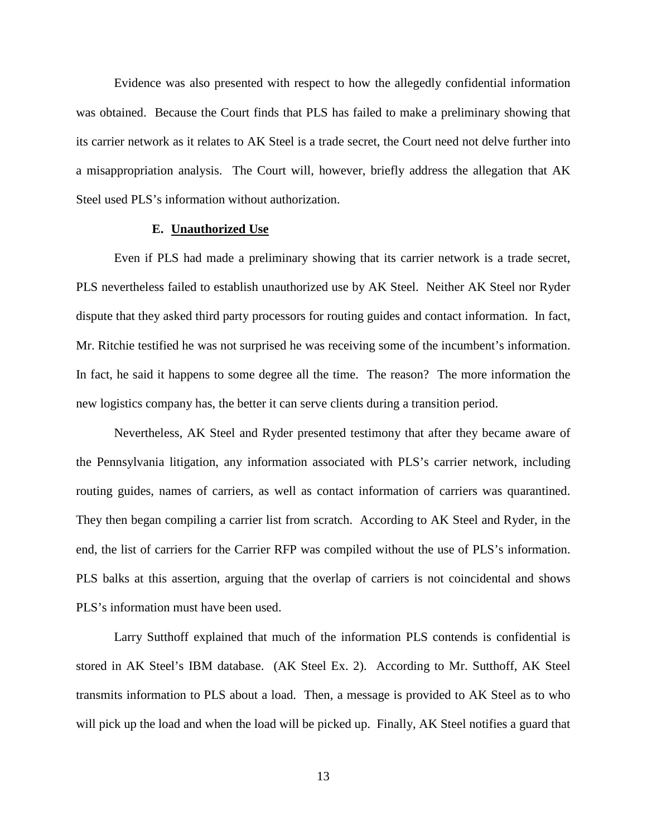Evidence was also presented with respect to how the allegedly confidential information was obtained. Because the Court finds that PLS has failed to make a preliminary showing that its carrier network as it relates to AK Steel is a trade secret, the Court need not delve further into a misappropriation analysis. The Court will, however, briefly address the allegation that AK Steel used PLS's information without authorization.

### **E. Unauthorized Use**

Even if PLS had made a preliminary showing that its carrier network is a trade secret, PLS nevertheless failed to establish unauthorized use by AK Steel. Neither AK Steel nor Ryder dispute that they asked third party processors for routing guides and contact information. In fact, Mr. Ritchie testified he was not surprised he was receiving some of the incumbent's information. In fact, he said it happens to some degree all the time. The reason? The more information the new logistics company has, the better it can serve clients during a transition period.

Nevertheless, AK Steel and Ryder presented testimony that after they became aware of the Pennsylvania litigation, any information associated with PLS's carrier network, including routing guides, names of carriers, as well as contact information of carriers was quarantined. They then began compiling a carrier list from scratch. According to AK Steel and Ryder, in the end, the list of carriers for the Carrier RFP was compiled without the use of PLS's information. PLS balks at this assertion, arguing that the overlap of carriers is not coincidental and shows PLS's information must have been used.

Larry Sutthoff explained that much of the information PLS contends is confidential is stored in AK Steel's IBM database. (AK Steel Ex. 2). According to Mr. Sutthoff, AK Steel transmits information to PLS about a load. Then, a message is provided to AK Steel as to who will pick up the load and when the load will be picked up. Finally, AK Steel notifies a guard that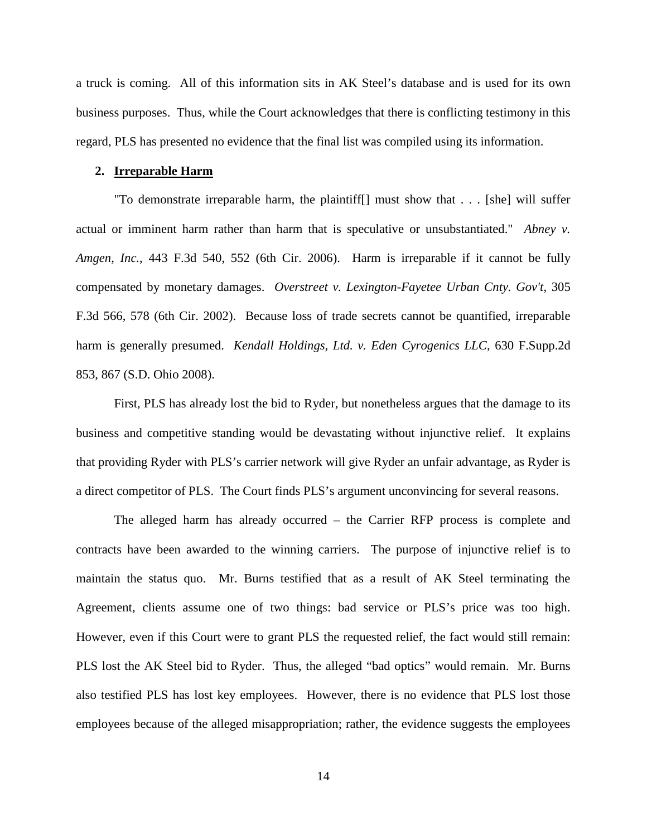a truck is coming. All of this information sits in AK Steel's database and is used for its own business purposes. Thus, while the Court acknowledges that there is conflicting testimony in this regard, PLS has presented no evidence that the final list was compiled using its information.

#### **2. Irreparable Harm**

"To demonstrate irreparable harm, the plaintiff[] must show that . . . [she] will suffer actual or imminent harm rather than harm that is speculative or unsubstantiated." *Abney v. Amgen, Inc.*, 443 F.3d 540, 552 (6th Cir. 2006). Harm is irreparable if it cannot be fully compensated by monetary damages. *Overstreet v. Lexington-Fayetee Urban Cnty. Gov't*, 305 F.3d 566, 578 (6th Cir. 2002). Because loss of trade secrets cannot be quantified, irreparable harm is generally presumed. *Kendall Holdings, Ltd. v. Eden Cyrogenics LLC*, 630 F.Supp.2d 853, 867 (S.D. Ohio 2008).

First, PLS has already lost the bid to Ryder, but nonetheless argues that the damage to its business and competitive standing would be devastating without injunctive relief. It explains that providing Ryder with PLS's carrier network will give Ryder an unfair advantage, as Ryder is a direct competitor of PLS. The Court finds PLS's argument unconvincing for several reasons.

The alleged harm has already occurred – the Carrier RFP process is complete and contracts have been awarded to the winning carriers. The purpose of injunctive relief is to maintain the status quo. Mr. Burns testified that as a result of AK Steel terminating the Agreement, clients assume one of two things: bad service or PLS's price was too high. However, even if this Court were to grant PLS the requested relief, the fact would still remain: PLS lost the AK Steel bid to Ryder. Thus, the alleged "bad optics" would remain. Mr. Burns also testified PLS has lost key employees. However, there is no evidence that PLS lost those employees because of the alleged misappropriation; rather, the evidence suggests the employees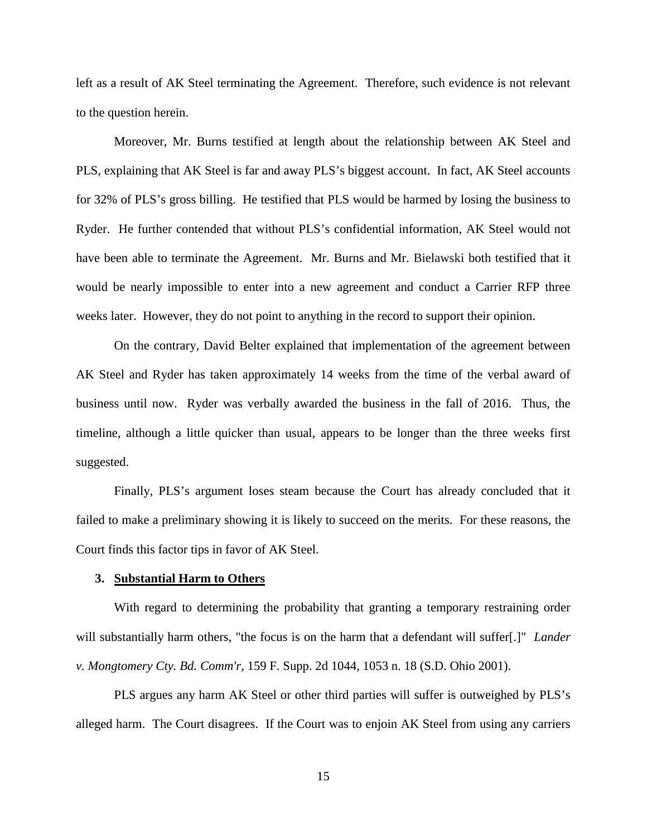left as a result of AK Steel terminating the Agreement. Therefore, such evidence is not relevant to the question herein.

Moreover, Mr. Burns testified at length about the relationship between AK Steel and PLS, explaining that AK Steel is far and away PLS's biggest account. In fact, AK Steel accounts for 32% of PLS's gross billing. He testified that PLS would be harmed by losing the business to Ryder. He further contended that without PLS's confidential information, AK Steel would not have been able to terminate the Agreement. Mr. Burns and Mr. Bielawski both testified that it would be nearly impossible to enter into a new agreement and conduct a Carrier RFP three weeks later. However, they do not point to anything in the record to support their opinion.

On the contrary, David Belter explained that implementation of the agreement between AK Steel and Ryder has taken approximately 14 weeks from the time of the verbal award of business until now. Ryder was verbally awarded the business in the fall of 2016. Thus, the timeline, although a little quicker than usual, appears to be longer than the three weeks first suggested.

Finally, PLS's argument loses steam because the Court has already concluded that it failed to make a preliminary showing it is likely to succeed on the merits. For these reasons, the Court finds this factor tips in favor of AK Steel.

## **3. Substantial Harm to Others**

With regard to determining the probability that granting a temporary restraining order will substantially harm others, "the focus is on the harm that a defendant will suffer[.]" *Lander v. Mongtomery Cty. Bd. Comm'r*, 159 F. Supp. 2d 1044, 1053 n. 18 (S.D. Ohio 2001).

PLS argues any harm AK Steel or other third parties will suffer is outweighed by PLS's alleged harm. The Court disagrees. If the Court was to enjoin AK Steel from using any carriers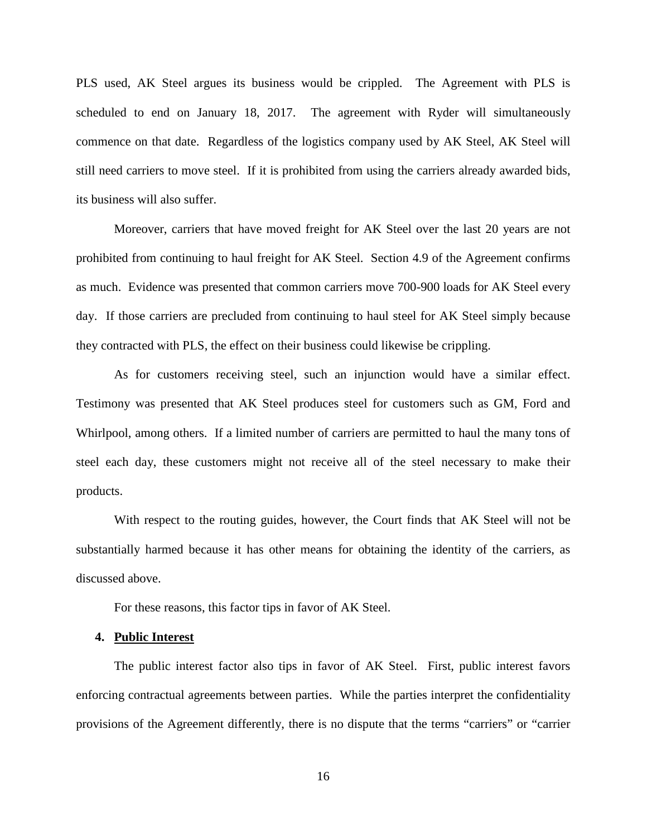PLS used, AK Steel argues its business would be crippled. The Agreement with PLS is scheduled to end on January 18, 2017. The agreement with Ryder will simultaneously commence on that date. Regardless of the logistics company used by AK Steel, AK Steel will still need carriers to move steel. If it is prohibited from using the carriers already awarded bids, its business will also suffer.

Moreover, carriers that have moved freight for AK Steel over the last 20 years are not prohibited from continuing to haul freight for AK Steel. Section 4.9 of the Agreement confirms as much. Evidence was presented that common carriers move 700-900 loads for AK Steel every day. If those carriers are precluded from continuing to haul steel for AK Steel simply because they contracted with PLS, the effect on their business could likewise be crippling.

As for customers receiving steel, such an injunction would have a similar effect. Testimony was presented that AK Steel produces steel for customers such as GM, Ford and Whirlpool, among others. If a limited number of carriers are permitted to haul the many tons of steel each day, these customers might not receive all of the steel necessary to make their products.

With respect to the routing guides, however, the Court finds that AK Steel will not be substantially harmed because it has other means for obtaining the identity of the carriers, as discussed above.

For these reasons, this factor tips in favor of AK Steel.

## **4. Public Interest**

The public interest factor also tips in favor of AK Steel. First, public interest favors enforcing contractual agreements between parties. While the parties interpret the confidentiality provisions of the Agreement differently, there is no dispute that the terms "carriers" or "carrier

16